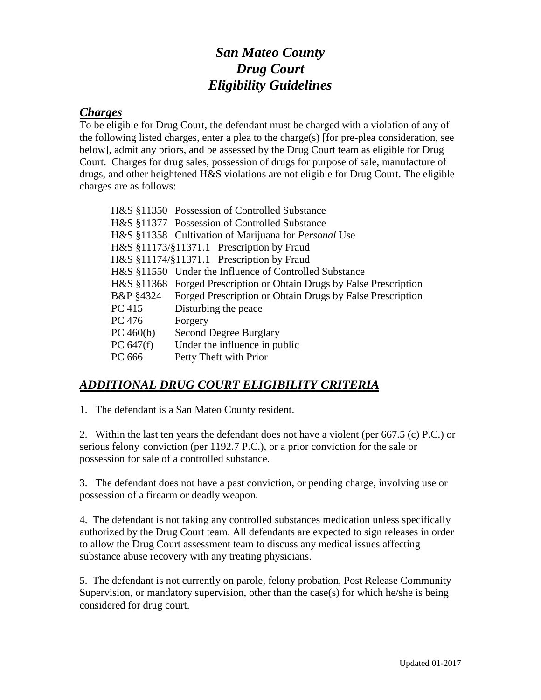## *San Mateo County Drug Court Eligibility Guidelines*

## *Charges*

To be eligible for Drug Court, the defendant must be charged with a violation of any of the following listed charges, enter a plea to the charge(s) [for pre-plea consideration, see below], admit any priors, and be assessed by the Drug Court team as eligible for Drug Court. Charges for drug sales, possession of drugs for purpose of sale, manufacture of drugs, and other heightened H&S violations are not eligible for Drug Court. The eligible charges are as follows:

|             | H&S §11350 Possession of Controlled Substance                              |
|-------------|----------------------------------------------------------------------------|
|             | H&S §11377 Possession of Controlled Substance                              |
|             | H&S §11358 Cultivation of Marijuana for <i>Personal</i> Use                |
|             | H&S §11173/§11371.1 Prescription by Fraud                                  |
|             | H&S §11174/§11371.1 Prescription by Fraud                                  |
|             | H&S §11550 Under the Influence of Controlled Substance                     |
|             | H&S §11368 Forged Prescription or Obtain Drugs by False Prescription       |
| B&P §4324   | <b>Example 3</b> Forged Prescription or Obtain Drugs by False Prescription |
| PC 415      | Disturbing the peace                                                       |
| PC 476      | Forgery                                                                    |
| PC 460(b)   | Second Degree Burglary                                                     |
| PC $647(f)$ | Under the influence in public                                              |
| PC 666      | Petty Theft with Prior                                                     |

## *ADDITIONAL DRUG COURT ELIGIBILITY CRITERIA*

1. The defendant is a San Mateo County resident.

2. Within the last ten years the defendant does not have a violent (per 667.5 (c) P.C.) or serious felony conviction (per 1192.7 P.C.), or a prior conviction for the sale or possession for sale of a controlled substance.

3. The defendant does not have a past conviction, or pending charge, involving use or possession of a firearm or deadly weapon.

4. The defendant is not taking any controlled substances medication unless specifically authorized by the Drug Court team. All defendants are expected to sign releases in order to allow the Drug Court assessment team to discuss any medical issues affecting substance abuse recovery with any treating physicians.

5. The defendant is not currently on parole, felony probation, Post Release Community Supervision, or mandatory supervision, other than the case(s) for which he/she is being considered for drug court.